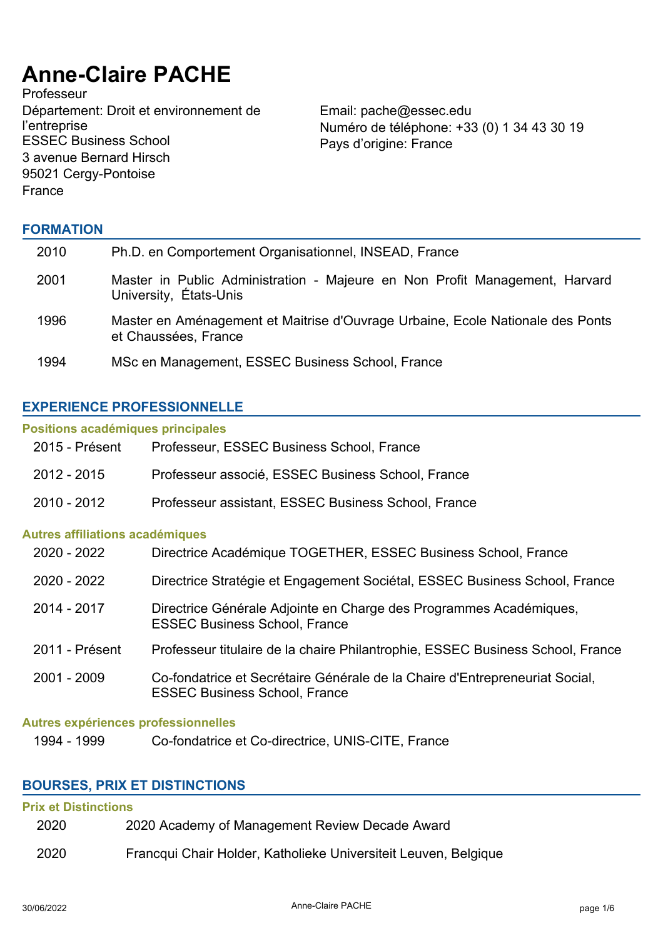# **Anne-Claire PACHE**

Professeur Département: Droit et environnement de l'entreprise<br>ESSEC Business School 3 avenue Bernard Hirsch 95021 Cergy-Pontoise France

Email: pache@essec.edu Numéro de téléphone: +33 (0) 1 34 43 30 19 Pays d'origine: France

## **FORMATION**

| 2010 | Ph.D. en Comportement Organisationnel, INSEAD, France                                                  |
|------|--------------------------------------------------------------------------------------------------------|
| 2001 | Master in Public Administration - Majeure en Non Profit Management, Harvard<br>University, États-Unis  |
| 1996 | Master en Aménagement et Maitrise d'Ouvrage Urbaine, Ecole Nationale des Ponts<br>et Chaussées, France |
| 1994 | MSc en Management, ESSEC Business School, France                                                       |

## **EXPERIENCE PROFESSIONNELLE**

#### **Positions académiques principales**

| 2015 - Présent                         | Professeur, ESSEC Business School, France                                                                           |
|----------------------------------------|---------------------------------------------------------------------------------------------------------------------|
| 2012 - 2015                            | Professeur associé, ESSEC Business School, France                                                                   |
| 2010 - 2012                            | Professeur assistant, ESSEC Business School, France                                                                 |
| <b>Autres affiliations académiques</b> |                                                                                                                     |
| 2020 - 2022                            | Directrice Académique TOGETHER, ESSEC Business School, France                                                       |
| 2020 - 2022                            | Directrice Stratégie et Engagement Sociétal, ESSEC Business School, France                                          |
| 2014 - 2017                            | Directrice Générale Adjointe en Charge des Programmes Académiques,<br><b>ESSEC Business School, France</b>          |
| 2011 - Présent                         | Professeur titulaire de la chaire Philantrophie, ESSEC Business School, France                                      |
| 2001 - 2009                            | Co-fondatrice et Secrétaire Générale de la Chaire d'Entrepreneuriat Social,<br><b>ESSEC Business School, France</b> |
| Autres expériences professionnelles    |                                                                                                                     |

1994 - 1999 Co-fondatrice et Co-directrice, UNIS-CITE, France

## **BOURSES, PRIX ET DISTINCTIONS**

## **Prix et Distinctions**

| 2020<br>2020 Academy of Management Review Decade Award |
|--------------------------------------------------------|
|--------------------------------------------------------|

2020 Francqui Chair Holder, Katholieke Universiteit Leuven, Belgique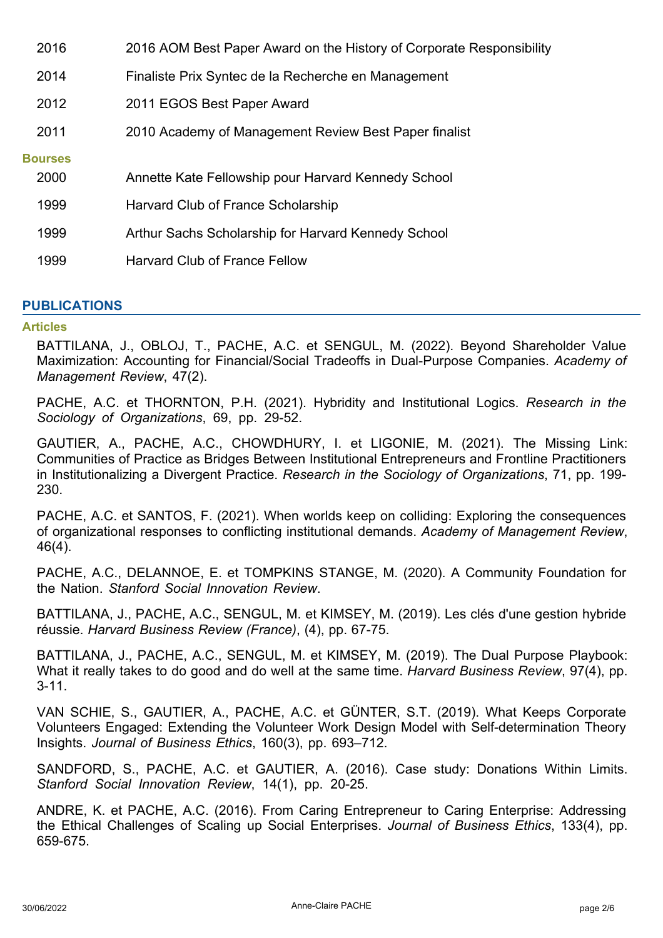| 2016                   | 2016 AOM Best Paper Award on the History of Corporate Responsibility |
|------------------------|----------------------------------------------------------------------|
| 2014                   | Finaliste Prix Syntec de la Recherche en Management                  |
| 2012                   | 2011 EGOS Best Paper Award                                           |
| 2011                   | 2010 Academy of Management Review Best Paper finalist                |
| <b>Bourses</b><br>2000 | Annette Kate Fellowship pour Harvard Kennedy School                  |
| 1999                   | Harvard Club of France Scholarship                                   |
| 1999                   | Arthur Sachs Scholarship for Harvard Kennedy School                  |
| 1999                   | <b>Harvard Club of France Fellow</b>                                 |

# **PUBLICATIONS**

#### **Articles**

BATTILANA, J., OBLOJ, T., PACHE, A.C. et SENGUL, M. (2022). Beyond Shareholder Value Maximization: Accounting for Financial/Social Tradeoffs in Dual-Purpose Companies. *Academy of Management Review*, 47(2).

PACHE, A.C. et THORNTON, P.H. (2021). Hybridity and Institutional Logics. *Research in the Sociology of Organizations*, 69, pp. 29-52.

GAUTIER, A., PACHE, A.C., CHOWDHURY, I. et LIGONIE, M. (2021). The Missing Link: Communities of Practice as Bridges Between Institutional Entrepreneurs and Frontline Practitioners in Institutionalizing a Divergent Practice. *Research in the Sociology of Organizations*, 71, pp. 199- 230.

PACHE, A.C. et SANTOS, F. (2021). When worlds keep on colliding: Exploring the consequences of organizational responses to conflicting institutional demands. *Academy of Management Review*, 46(4).

PACHE, A.C., DELANNOE, E. et TOMPKINS STANGE, M. (2020). A Community Foundation for the Nation. *Stanford Social Innovation Review*.

BATTILANA, J., PACHE, A.C., SENGUL, M. et KIMSEY, M. (2019). Les clés d'une gestion hybride réussie. *Harvard Business Review (France)*, (4), pp. 67-75.

BATTILANA, J., PACHE, A.C., SENGUL, M. et KIMSEY, M. (2019). The Dual Purpose Playbook: What it really takes to do good and do well at the same time. *Harvard Business Review*, 97(4), pp. 3-11.

VAN SCHIE, S., GAUTIER, A., PACHE, A.C. et GÜNTER, S.T. (2019). What Keeps Corporate Volunteers Engaged: Extending the Volunteer Work Design Model with Self-determination Theory Insights. *Journal of Business Ethics*, 160(3), pp. 693–712.

SANDFORD, S., PACHE, A.C. et GAUTIER, A. (2016). Case study: Donations Within Limits. *Stanford Social Innovation Review*, 14(1), pp. 20-25.

ANDRE, K. et PACHE, A.C. (2016). From Caring Entrepreneur to Caring Enterprise: Addressing the Ethical Challenges of Scaling up Social Enterprises. *Journal of Business Ethics*, 133(4), pp. 659-675.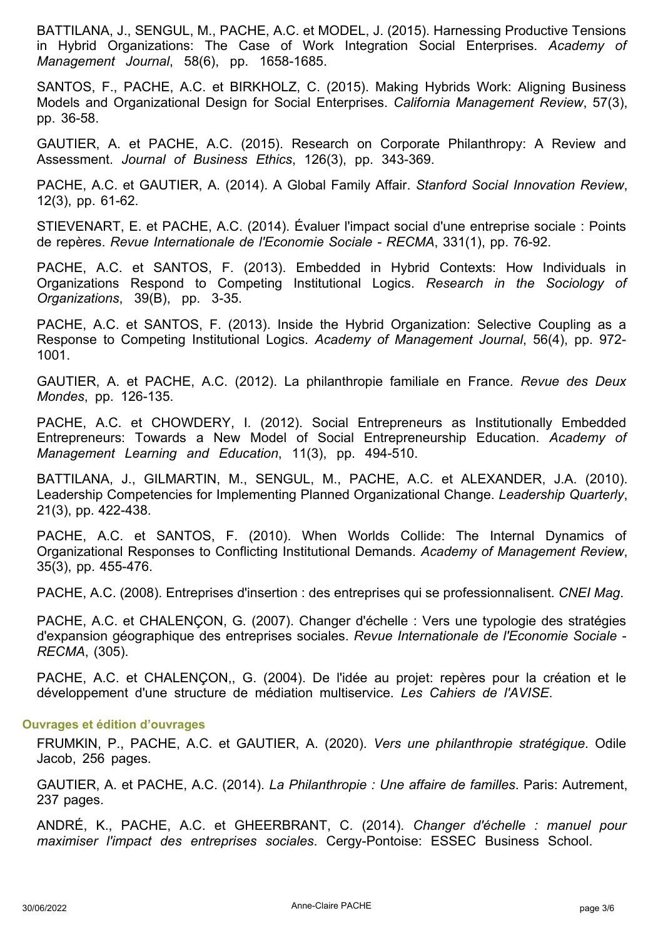BATTILANA, J., SENGUL, M., PACHE, A.C. et MODEL, J. (2015). Harnessing Productive Tensions in Hybrid Organizations: The Case of Work Integration Social Enterprises. *Academy of Management Journal*, 58(6), pp. 1658-1685.

SANTOS, F., PACHE, A.C. et BIRKHOLZ, C. (2015). Making Hybrids Work: Aligning Business Models and Organizational Design for Social Enterprises. *California Management Review*, 57(3), pp. 36-58.

GAUTIER, A. et PACHE, A.C. (2015). Research on Corporate Philanthropy: A Review and Assessment. *Journal of Business Ethics*, 126(3), pp. 343-369.

PACHE, A.C. et GAUTIER, A. (2014). A Global Family Affair. *Stanford Social Innovation Review*, 12(3), pp. 61-62.

STIEVENART, E. et PACHE, A.C. (2014). Évaluer l'impact social d'une entreprise sociale : Points de repères. *Revue Internationale de l'Economie Sociale - RECMA*, 331(1), pp. 76-92.

PACHE, A.C. et SANTOS, F. (2013). Embedded in Hybrid Contexts: How Individuals in Organizations Respond to Competing Institutional Logics. *Research in the Sociology of Organizations*, 39(B), pp. 3-35.

PACHE, A.C. et SANTOS, F. (2013). Inside the Hybrid Organization: Selective Coupling as a Response to Competing Institutional Logics. *Academy of Management Journal*, 56(4), pp. 972- 1001.

GAUTIER, A. et PACHE, A.C. (2012). La philanthropie familiale en France. *Revue des Deux Mondes*, pp. 126-135.

PACHE, A.C. et CHOWDERY, I. (2012). Social Entrepreneurs as Institutionally Embedded Entrepreneurs: Towards a New Model of Social Entrepreneurship Education. *Academy of Management Learning and Education*, 11(3), pp. 494-510.

BATTILANA, J., GILMARTIN, M., SENGUL, M., PACHE, A.C. et ALEXANDER, J.A. (2010). Leadership Competencies for Implementing Planned Organizational Change. *Leadership Quarterly*, 21(3), pp. 422-438.

PACHE, A.C. et SANTOS, F. (2010). When Worlds Collide: The Internal Dynamics of Organizational Responses to Conflicting Institutional Demands. *Academy of Management Review*, 35(3), pp. 455-476.

PACHE, A.C. (2008). Entreprises d'insertion : des entreprises qui se professionnalisent. *CNEI Mag*.

PACHE, A.C. et CHALENÇON, G. (2007). Changer d'échelle : Vers une typologie des stratégies d'expansion géographique des entreprises sociales. *Revue Internationale de l'Economie Sociale - RECMA*, (305).

PACHE, A.C. et CHALENÇON,, G. (2004). De l'idée au projet: repères pour la création et le développement d'une structure de médiation multiservice. *Les Cahiers de l'AVISE*.

#### **Ouvrages et édition d'ouvrages**

FRUMKIN, P., PACHE, A.C. et GAUTIER, A. (2020). *Vers une philanthropie stratégique*. Odile Jacob, 256 pages.

GAUTIER, A. et PACHE, A.C. (2014). *La Philanthropie : Une affaire de familles*. Paris: Autrement, 237 pages.

ANDRÉ, K., PACHE, A.C. et GHEERBRANT, C. (2014). *Changer d'échelle : manuel pour maximiser l'impact des entreprises sociales*. Cergy-Pontoise: ESSEC Business School.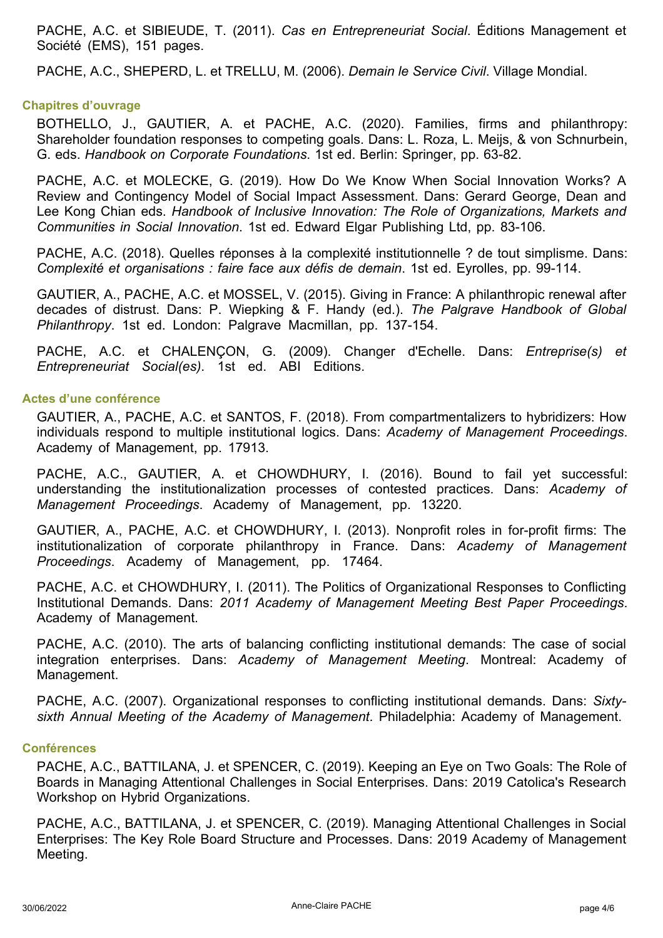PACHE, A.C. et SIBIEUDE, T. (2011). *Cas en Entrepreneuriat Social*. Éditions Management et Société (EMS), 151 pages.

PACHE, A.C., SHEPERD, L. et TRELLU, M. (2006). *Demain le Service Civil*. Village Mondial.

#### **Chapitres d'ouvrage**

BOTHELLO, J., GAUTIER, A. et PACHE, A.C. (2020). Families, firms and philanthropy: Shareholder foundation responses to competing goals. Dans: L. Roza, L. Meijs, & von Schnurbein, G. eds. *Handbook on Corporate Foundations*. 1st ed. Berlin: Springer, pp. 63-82.

PACHE, A.C. et MOLECKE, G. (2019). How Do We Know When Social Innovation Works? A Review and Contingency Model of Social Impact Assessment. Dans: Gerard George, Dean and Lee Kong Chian eds. *Handbook of Inclusive Innovation: The Role of Organizations, Markets and Communities in Social Innovation*. 1st ed. Edward Elgar Publishing Ltd, pp. 83-106.

PACHE, A.C. (2018). Quelles réponses à la complexité institutionnelle ? de tout simplisme. Dans: *Complexité et organisations : faire face aux défis de demain*. 1st ed. Eyrolles, pp. 99-114.

GAUTIER, A., PACHE, A.C. et MOSSEL, V. (2015). Giving in France: A philanthropic renewal after decades of distrust. Dans: P. Wiepking & F. Handy (ed.). *The Palgrave Handbook of Global Philanthropy*. 1st ed. London: Palgrave Macmillan, pp. 137-154.

PACHE, A.C. et CHALENÇON, G. (2009). Changer d'Echelle. Dans: *Entreprise(s) et Entrepreneuriat Social(es)*. 1st ed. ABI Editions.

#### **Actes d'une conférence**

GAUTIER, A., PACHE, A.C. et SANTOS, F. (2018). From compartmentalizers to hybridizers: How individuals respond to multiple institutional logics. Dans: *Academy of Management Proceedings*. Academy of Management, pp. 17913.

PACHE, A.C., GAUTIER, A. et CHOWDHURY, I. (2016). Bound to fail yet successful: understanding the institutionalization processes of contested practices. Dans: *Academy of Management Proceedings*. Academy of Management, pp. 13220.

GAUTIER, A., PACHE, A.C. et CHOWDHURY, I. (2013). Nonprofit roles in for-profit firms: The institutionalization of corporate philanthropy in France. Dans: *Academy of Management Proceedings*. Academy of Management, pp. 17464.

PACHE, A.C. et CHOWDHURY, I. (2011). The Politics of Organizational Responses to Conflicting Institutional Demands. Dans: *2011 Academy of Management Meeting Best Paper Proceedings*. Academy of Management.

PACHE, A.C. (2010). The arts of balancing conflicting institutional demands: The case of social integration enterprises. Dans: *Academy of Management Meeting*. Montreal: Academy of Management.

PACHE, A.C. (2007). Organizational responses to conflicting institutional demands. Dans: *Sixtysixth Annual Meeting of the Academy of Management*. Philadelphia: Academy of Management.

#### **Conférences**

PACHE, A.C., BATTILANA, J. et SPENCER, C. (2019). Keeping an Eye on Two Goals: The Role of Boards in Managing Attentional Challenges in Social Enterprises. Dans: 2019 Catolica's Research Workshop on Hybrid Organizations.

PACHE, A.C., BATTILANA, J. et SPENCER, C. (2019). Managing Attentional Challenges in Social Enterprises: The Key Role Board Structure and Processes. Dans: 2019 Academy of Management Meeting.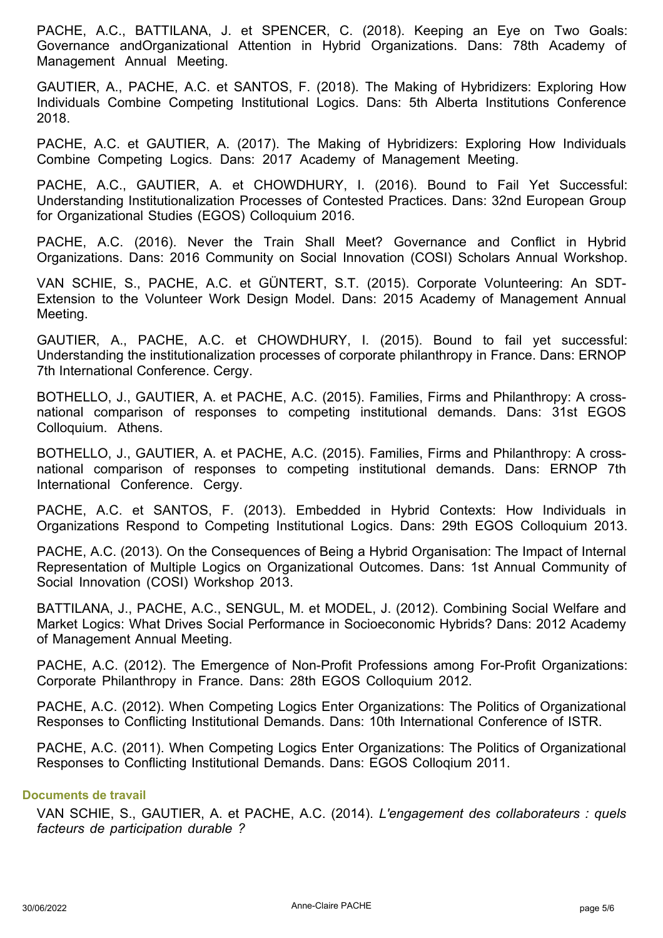PACHE, A.C., BATTILANA, J. et SPENCER, C. (2018). Keeping an Eye on Two Goals: Governance andOrganizational Attention in Hybrid Organizations. Dans: 78th Academy of Management Annual Meeting.

GAUTIER, A., PACHE, A.C. et SANTOS, F. (2018). The Making of Hybridizers: Exploring How Individuals Combine Competing Institutional Logics. Dans: 5th Alberta Institutions Conference 2018.

PACHE, A.C. et GAUTIER, A. (2017). The Making of Hybridizers: Exploring How Individuals Combine Competing Logics. Dans: 2017 Academy of Management Meeting.

PACHE, A.C., GAUTIER, A. et CHOWDHURY, I. (2016). Bound to Fail Yet Successful: Understanding Institutionalization Processes of Contested Practices. Dans: 32nd European Group for Organizational Studies (EGOS) Colloquium 2016.

PACHE, A.C. (2016). Never the Train Shall Meet? Governance and Conflict in Hybrid Organizations. Dans: 2016 Community on Social Innovation (COSI) Scholars Annual Workshop.

VAN SCHIE, S., PACHE, A.C. et GÜNTERT, S.T. (2015). Corporate Volunteering: An SDT-Extension to the Volunteer Work Design Model. Dans: 2015 Academy of Management Annual Meeting.

GAUTIER, A., PACHE, A.C. et CHOWDHURY, I. (2015). Bound to fail yet successful: Understanding the institutionalization processes of corporate philanthropy in France. Dans: ERNOP 7th International Conference. Cergy.

BOTHELLO, J., GAUTIER, A. et PACHE, A.C. (2015). Families, Firms and Philanthropy: A crossnational comparison of responses to competing institutional demands. Dans: 31st EGOS Colloquium. Athens.

BOTHELLO, J., GAUTIER, A. et PACHE, A.C. (2015). Families, Firms and Philanthropy: A crossnational comparison of responses to competing institutional demands. Dans: ERNOP 7th International Conference. Cergy.

PACHE, A.C. et SANTOS, F. (2013). Embedded in Hybrid Contexts: How Individuals in Organizations Respond to Competing Institutional Logics. Dans: 29th EGOS Colloquium 2013.

PACHE, A.C. (2013). On the Consequences of Being a Hybrid Organisation: The Impact of Internal Representation of Multiple Logics on Organizational Outcomes. Dans: 1st Annual Community of Social Innovation (COSI) Workshop 2013.

BATTILANA, J., PACHE, A.C., SENGUL, M. et MODEL, J. (2012). Combining Social Welfare and Market Logics: What Drives Social Performance in Socioeconomic Hybrids? Dans: 2012 Academy of Management Annual Meeting.

PACHE, A.C. (2012). The Emergence of Non-Profit Professions among For-Profit Organizations: Corporate Philanthropy in France. Dans: 28th EGOS Colloquium 2012.

PACHE, A.C. (2012). When Competing Logics Enter Organizations: The Politics of Organizational Responses to Conflicting Institutional Demands. Dans: 10th International Conference of ISTR.

PACHE, A.C. (2011). When Competing Logics Enter Organizations: The Politics of Organizational Responses to Conflicting Institutional Demands. Dans: EGOS Colloqium 2011.

## **Documents de travail**

VAN SCHIE, S., GAUTIER, A. et PACHE, A.C. (2014). *L'engagement des collaborateurs : quels facteurs de participation durable ?*